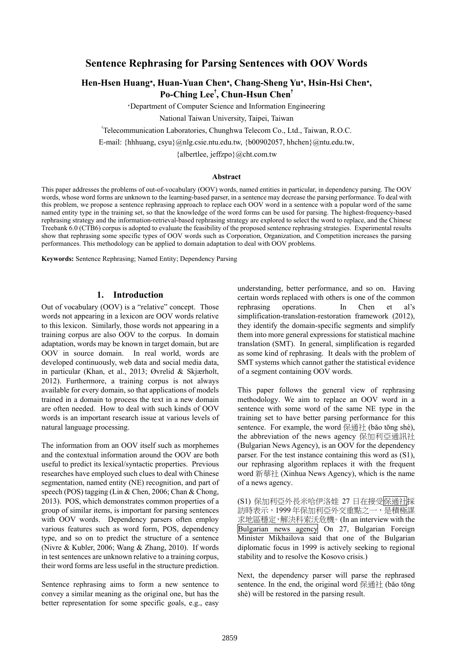# **Sentence Rephrasing for Parsing Sentences with OOV Words**

# **Hen-Hsen Huang**∗**, Huan-Yuan Chen**∗**, Chang-Sheng Yu**∗**, Hsin-Hsi Chen**∗**, Po-Ching Lee**† **, Chun-Hsun Chen**†

<sup>∗</sup>Department of Computer Science and Information Engineering

National Taiwan University, Taipei, Taiwan

† Telecommunication Laboratories, Chunghwa Telecom Co., Ltd., Taiwan, R.O.C.

E-mail: {hhhuang, csyu}@nlg.csie.ntu.edu.tw, {b00902057, hhchen}@ntu.edu.tw,

{albertlee, jeffzpo}@cht.com.tw

#### **Abstract**

This paper addresses the problems of out-of-vocabulary (OOV) words, named entities in particular, in dependency parsing. The OOV words, whose word forms are unknown to the learning-based parser, in a sentence may decrease the parsing performance. To deal with this problem, we propose a sentence rephrasing approach to replace each OOV word in a sentence with a popular word of the same named entity type in the training set, so that the knowledge of the word forms can be used for parsing. The highest-frequency-based rephrasing strategy and the information-retrieval-based rephrasing strategy are explored to select the word to replace, and the Chinese Treebank 6.0 (CTB6) corpus is adopted to evaluate the feasibility of the proposed sentence rephrasing strategies. Experimental results show that rephrasing some specific types of OOV words such as Corporation, Organization, and Competition increases the parsing performances. This methodology can be applied to domain adaptation to deal with OOV problems.

**Keywords:** Sentence Rephrasing; Named Entity; Dependency Parsing

#### **1. Introduction**

Out of vocabulary (OOV) is a "relative" concept. Those words not appearing in a lexicon are OOV words relative to this lexicon. Similarly, those words not appearing in a training corpus are also OOV to the corpus. In domain adaptation, words may be known in target domain, but are OOV in source domain. In real world, words are developed continuously, web data and social media data, in particular (Khan, et al., 2013; Øvrelid & Skjærholt, 2012). Furthermore, a training corpus is not always available for every domain, so that applications of models trained in a domain to process the text in a new domain are often needed. How to deal with such kinds of OOV words is an important research issue at various levels of natural language processing.

The information from an OOV itself such as morphemes and the contextual information around the OOV are both useful to predict its lexical/syntactic properties. Previous researches have employed such clues to deal with Chinese segmentation, named entity (NE) recognition, and part of speech (POS) tagging (Lin & Chen, 2006; Chan & Chong, 2013). POS, which demonstrates common properties of a group of similar items, is important for parsing sentences with OOV words. Dependency parsers often employ various features such as word form, POS, dependency type, and so on to predict the structure of a sentence (Nivre & Kubler, 2006; Wang & Zhang, 2010). If words in test sentences are unknown relative to a training corpus, their word forms are less useful in the structure prediction.

Sentence rephrasing aims to form a new sentence to convey a similar meaning as the original one, but has the better representation for some specific goals, e.g., easy understanding, better performance, and so on. Having certain words replaced with others is one of the common rephrasing operations. In Chen et al's simplification-translation-restoration framework (2012), they identify the domain-specific segments and simplify them into more general expressions for statistical machine translation (SMT). In general, simplification is regarded as some kind of rephrasing. It deals with the problem of SMT systems which cannot gather the statistical evidence of a segment containing OOV words.

This paper follows the general view of rephrasing methodology. We aim to replace an OOV word in a sentence with some word of the same NE type in the training set to have better parsing performance for this sentence. For example, the word 保通社 (bǎo tōng shè), the abbreviation of the news agency 保加利亞通訊社 (Bulgarian News Agency), is an OOV for the dependency parser. For the test instance containing this word as (S1), our rephrasing algorithm replaces it with the frequent word 新華社 (Xinhua News Agency), which is the name of a news agency.

(S1) 保加利亞外長米哈伊洛娃 27 日在接受保通社採 訪時表示,1999 年保加利亞外交重點之一,是積極謀 求地區穩定,解決科索沃危機。 (In an interview with the Bulgarian news agency On 27, Bulgarian Foreign Minister Mikhailova said that one of the Bulgarian diplomatic focus in 1999 is actively seeking to regional stability and to resolve the Kosovo crisis.)

Next, the dependency parser will parse the rephrased sentence. In the end, the original word 保通社 (bǎo tōng shè) will be restored in the parsing result.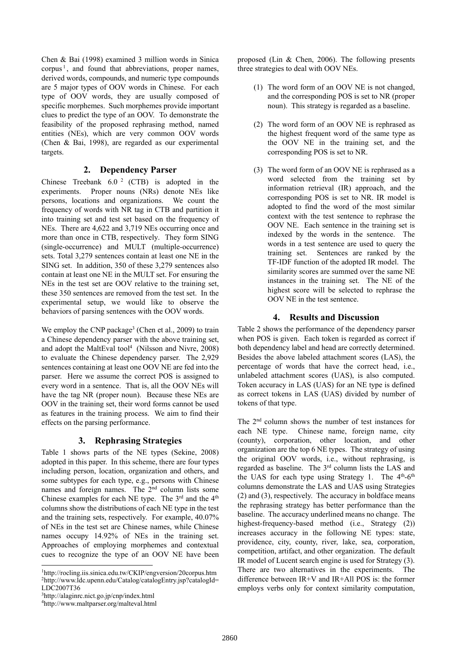Chen & Bai (1998) examined 3 million words in Sinica corpus<sup> $1$ </sup>, and found that abbreviations, proper names, derived words, compounds, and numeric type compounds are 5 major types of OOV words in Chinese. For each type of OOV words, they are usually composed of specific morphemes. Such morphemes provide important clues to predict the type of an OOV. To demonstrate the feasibility of the proposed rephrasing method, named entities (NEs), which are very common OOV words (Chen & Bai, 1998), are regarded as our experimental targets.

### **2. Dependency Parser**

Chinese Treebank 6.0 2 (CTB) is adopted in the experiments. Proper nouns (NRs) denote NEs like persons, locations and organizations. We count the frequency of words with NR tag in CTB and partition it into training set and test set based on the frequency of NEs. There are 4,622 and 3,719 NEs occurring once and more than once in CTB, respectively. They form SING (single-occurrence) and MULT (multiple-occurrence) sets. Total 3,279 sentences contain at least one NE in the SING set. In addition, 350 of these 3,279 sentences also contain at least one NE in the MULT set. For ensuring the NEs in the test set are OOV relative to the training set, these 350 sentences are removed from the test set. In the experimental setup, we would like to observe the behaviors of parsing sentences with the OOV words.

We employ the CNP package<sup>3</sup> (Chen et al., 2009) to train a Chinese dependency parser with the above training set, and adopt the MaltEval tool<sup>4</sup> (Nilsson and Nivre, 2008) to evaluate the Chinese dependency parser. The 2,929 sentences containing at least one OOV NE are fed into the parser. Here we assume the correct POS is assigned to every word in a sentence. That is, all the OOV NEs will have the tag NR (proper noun). Because these NEs are OOV in the training set, their word forms cannot be used as features in the training process. We aim to find their effects on the parsing performance.

# **3. Rephrasing Strategies**

Table 1 shows parts of the NE types (Sekine, 2008) adopted in this paper. In this scheme, there are four types including person, location, organization and others, and some subtypes for each type, e.g., persons with Chinese names and foreign names. The 2<sup>nd</sup> column lists some Chinese examples for each NE type. The  $3<sup>rd</sup>$  and the  $4<sup>th</sup>$ columns show the distributions of each NE type in the test and the training sets, respectively. For example, 40.07% of NEs in the test set are Chinese names, while Chinese names occupy 14.92% of NEs in the training set. Approaches of employing morphemes and contextual cues to recognize the type of an OOV NE have been proposed (Lin & Chen, 2006). The following presents three strategies to deal with OOV NEs.

- (1) The word form of an OOV NE is not changed, and the corresponding POS is set to NR (proper noun). This strategy is regarded as a baseline.
- (2) The word form of an OOV NE is rephrased as the highest frequent word of the same type as the OOV NE in the training set, and the corresponding POS is set to NR.
- (3) The word form of an OOV NE is rephrased as a word selected from the training set by information retrieval (IR) approach, and the corresponding POS is set to NR. IR model is adopted to find the word of the most similar context with the test sentence to rephrase the OOV NE. Each sentence in the training set is indexed by the words in the sentence. The words in a test sentence are used to query the training set. Sentences are ranked by the TF-IDF function of the adopted IR model. The similarity scores are summed over the same NE instances in the training set. The NE of the highest score will be selected to rephrase the OOV NE in the test sentence.

### **4. Results and Discussion**

Table 2 shows the performance of the dependency parser when POS is given. Each token is regarded as correct if both dependency label and head are correctly determined. Besides the above labeled attachment scores (LAS), the percentage of words that have the correct head, i.e., unlabeled attachment scores (UAS), is also computed. Token accuracy in LAS (UAS) for an NE type is defined as correct tokens in LAS (UAS) divided by number of tokens of that type.

The 2nd column shows the number of test instances for each NE type. Chinese name, foreign name, city (county), corporation, other location, and other organization are the top 6 NE types. The strategy of using the original OOV words, i.e., without rephrasing, is regarded as baseline. The 3rd column lists the LAS and the UAS for each type using Strategy 1. The  $4<sup>th</sup>-6<sup>th</sup>$ columns demonstrate the LAS and UAS using Strategies (2) and (3), respectively. The accuracy in boldface means the rephrasing strategy has better performance than the baseline. The accuracy underlined means no change. The highest-frequency-based method (i.e., Strategy (2)) increases accuracy in the following NE types: state, providence, city, county, river, lake, sea, corporation, competition, artifact, and other organization. The default IR model of Lucent search engine is used for Strategy (3). There are two alternatives in the experiments. The difference between IR+V and IR+All POS is: the former employs verbs only for context similarity computation,

l 1http://rocling.iis.sinica.edu.tw/CKIP/engversion/20corpus.htm 2http://www.ldc.upenn.edu/Catalog/catalogEntry.jsp?catalogId= LDC2007T36

<sup>3</sup>http://alaginrc.nict.go.jp/cnp/index.html 4http://www.maltparser.org/malteval.html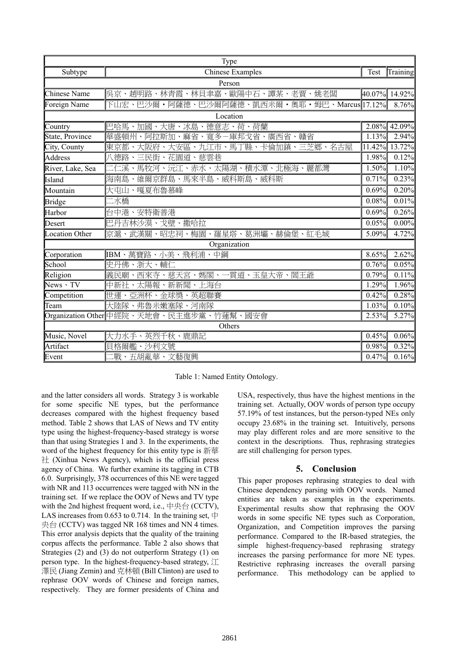| Type                  |                                                              |       |               |  |  |  |  |  |  |  |
|-----------------------|--------------------------------------------------------------|-------|---------------|--|--|--|--|--|--|--|
| Subtype               | <b>Chinese Examples</b>                                      | Test  | Training      |  |  |  |  |  |  |  |
| Person                |                                                              |       |               |  |  |  |  |  |  |  |
| <b>Chinese Name</b>   | 呉京、趙明路、林青霞、林貝聿嘉、歐陽中石、譚某、老賈、姚老闆                               |       | 40.07% 14.92% |  |  |  |  |  |  |  |
| Foreign Name          | 下山宏、巴沙爾・阿薩德、巴沙爾阿薩德、凱西米爾・奧耶・姆巴、Marcus 17.12%                  |       | 8.76%         |  |  |  |  |  |  |  |
| Location              |                                                              |       |               |  |  |  |  |  |  |  |
| Country               | 德意志、荷、荷蘭<br>巴哈馬、加國、大唐、冰島、                                    |       | 2.08% 42.09%  |  |  |  |  |  |  |  |
| State, Province       | 麻省、寬多一庫邦戈省、廣西省、贛省<br>華盛頓州<br>阿拉斯加、<br>$\boldsymbol{\lambda}$ | 1.13% | 2.94%         |  |  |  |  |  |  |  |
| City, County          | 東京都、大阪府、大安區、九江市、馬丁縣、卡倫加鎮、三芝鄉、名古屋                             |       | 11.42% 13.72% |  |  |  |  |  |  |  |
| <b>Address</b>        | 八德路、三民街、花園道、慈雲巷                                              | 1.98% | 0.12%         |  |  |  |  |  |  |  |
| River, Lake, Sea      | 二仁溪、馬牧河、沅江、赤水、太陽湖、積水潭、北極海、麗都灣                                | 1.50% | 1.10%         |  |  |  |  |  |  |  |
| Island                | 維爾京群島、馬來半島、威科斯島、威科斯<br>海南島                                   | 0.71% | 0.23%         |  |  |  |  |  |  |  |
| Mountain              | 大屯山、嘎夏布魯慕峰                                                   | 0.69% | 0.20%         |  |  |  |  |  |  |  |
| <b>Bridge</b>         | 二水橋                                                          | 0.08% | 0.01%         |  |  |  |  |  |  |  |
| Harbor                | 台中港、安特衛普港                                                    | 0.69% | 0.26%         |  |  |  |  |  |  |  |
| Desert                | 巴丹吉林沙漠、戈壁、撒哈拉                                                | 0.05% | 0.00%         |  |  |  |  |  |  |  |
| <b>Location Other</b> | 京滬、武漢關、昭忠祠、梅園、羅星塔、葛洲壩、赫倫堡、紅毛城                                | 5.09% | 4.72%         |  |  |  |  |  |  |  |
|                       | Organization                                                 |       |               |  |  |  |  |  |  |  |
| Corporation           | IBM、萬寶路、小美、飛利浦、中鋼                                            | 8.65% | 2.62%         |  |  |  |  |  |  |  |
| School                | 史丹佛、浙大、輔仁                                                    | 0.76% | 0.05%         |  |  |  |  |  |  |  |
| Religion              | 義民廟、西來寺、慈天宮、媽閣、一貫道、玉皇大帝、閻王爺                                  | 0.79% | 0.11%         |  |  |  |  |  |  |  |
| $News \cdot TV$       | 中新社、太陽報、新新聞、上海台                                              | 1.29% | 1.96%         |  |  |  |  |  |  |  |
| Competition           | 世運、亞洲杯、金球獎、英超聯賽                                              | 0.42% | 0.28%         |  |  |  |  |  |  |  |
| Team                  | 大陸隊、弗魯米嫩塞隊、河南隊                                               | 1.03% | 0.10%         |  |  |  |  |  |  |  |
|                       | Organization Other 中經院、天地會、民主進步黨、竹蓮幫、國安會                     | 2.53% | 5.27%         |  |  |  |  |  |  |  |
| Others                |                                                              |       |               |  |  |  |  |  |  |  |
| Music, Novel          | 大力水手、英烈千秋、鹿鼎記                                                | 0.45% | 0.06%         |  |  |  |  |  |  |  |
| Artifact              | 貝格爾艦、沙利文號                                                    | 0.98% | 0.32%         |  |  |  |  |  |  |  |
| Event                 | 戰、五胡亂華、文藝復興                                                  | 0.47% | 0.16%         |  |  |  |  |  |  |  |

Table 1: Named Entity Ontology.

and the latter considers all words. Strategy 3 is workable for some specific NE types, but the performance decreases compared with the highest frequency based method. Table 2 shows that LAS of News and TV entity type using the highest-frequency-based strategy is worse than that using Strategies 1 and 3. In the experiments, the word of the highest frequency for this entity type is 新華 社 (Xinhua News Agency), which is the official press agency of China. We further examine its tagging in CTB 6.0. Surprisingly, 378 occurrences of this NE were tagged with NR and 113 occurrences were tagged with NN in the training set. If we replace the OOV of News and TV type with the 2nd highest frequent word, i.e.,  $\pm \pm \leftrightarrow$  (CCTV), LAS increases from 0.653 to 0.714. In the training set,  $\pm$ 央台 (CCTV) was tagged NR 168 times and NN 4 times. This error analysis depicts that the quality of the training corpus affects the performance. Table 2 also shows that Strategies (2) and (3) do not outperform Strategy (1) on person type. In the highest-frequency-based strategy, 江 澤民 (Jiang Zemin) and 克林頓 (Bill Clinton) are used to rephrase OOV words of Chinese and foreign names, respectively. They are former presidents of China and USA, respectively, thus have the highest mentions in the training set. Actually, OOV words of person type occupy 57.19% of test instances, but the person-typed NEs only occupy 23.68% in the training set. Intuitively, persons may play different roles and are more sensitive to the context in the descriptions. Thus, rephrasing strategies are still challenging for person types.

# **5. Conclusion**

This paper proposes rephrasing strategies to deal with Chinese dependency parsing with OOV words. Named entities are taken as examples in the experiments. Experimental results show that rephrasing the OOV words in some specific NE types such as Corporation, Organization, and Competition improves the parsing performance. Compared to the IR-based strategies, the simple highest-frequency-based rephrasing strategy increases the parsing performance for more NE types. Restrictive rephrasing increases the overall parsing performance. This methodology can be applied to